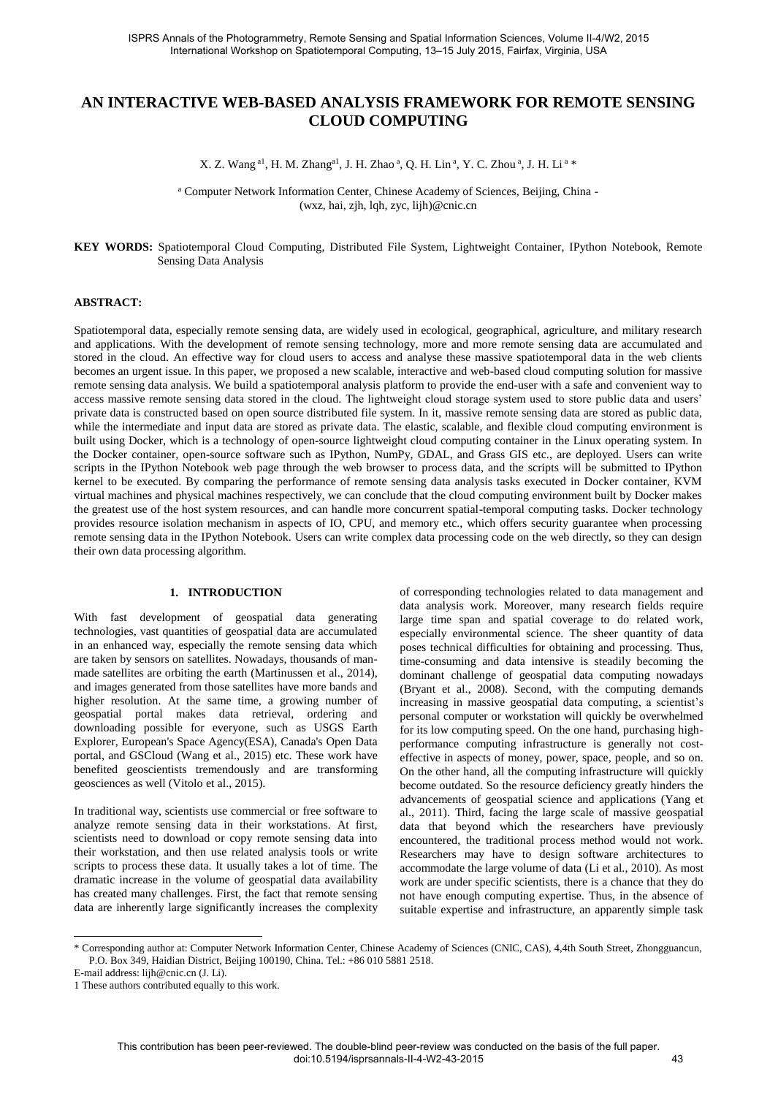# **AN INTERACTIVE WEB-BASED ANALYSIS FRAMEWORK FOR REMOTE SENSING CLOUD COMPUTING**

X. Z. Wang <sup>a1</sup>, H. M. Zhang<sup>a1</sup>, J. H. Zhao <sup>a</sup>, Q. H. Lin <sup>a</sup>, Y. C. Zhou <sup>a</sup>, J. H. Li <sup>a</sup> \*

<sup>a</sup> Computer Network Information Center, Chinese Academy of Sciences, Beijing, China - (wxz, hai, zjh, lqh, zyc, lijh)@cnic.cn

#### **KEY WORDS:** Spatiotemporal Cloud Computing, Distributed File System, Lightweight Container, IPython Notebook, Remote Sensing Data Analysis

## **ABSTRACT:**

Spatiotemporal data, especially remote sensing data, are widely used in ecological, geographical, agriculture, and military research and applications. With the development of remote sensing technology, more and more remote sensing data are accumulated and stored in the cloud. An effective way for cloud users to access and analyse these massive spatiotemporal data in the web clients becomes an urgent issue. In this paper, we proposed a new scalable, interactive and web-based cloud computing solution for massive remote sensing data analysis. We build a spatiotemporal analysis platform to provide the end-user with a safe and convenient way to access massive remote sensing data stored in the cloud. The lightweight cloud storage system used to store public data and users' private data is constructed based on open source distributed file system. In it, massive remote sensing data are stored as public data, while the intermediate and input data are stored as private data. The elastic, scalable, and flexible cloud computing environment is built using Docker, which is a technology of open-source lightweight cloud computing container in the Linux operating system. In the Docker container, open-source software such as IPython, NumPy, GDAL, and Grass GIS etc., are deployed. Users can write scripts in the IPython Notebook web page through the web browser to process data, and the scripts will be submitted to IPython kernel to be executed. By comparing the performance of remote sensing data analysis tasks executed in Docker container, KVM virtual machines and physical machines respectively, we can conclude that the cloud computing environment built by Docker makes the greatest use of the host system resources, and can handle more concurrent spatial-temporal computing tasks. Docker technology provides resource isolation mechanism in aspects of IO, CPU, and memory etc., which offers security guarantee when processing remote sensing data in the IPython Notebook. Users can write complex data processing code on the web directly, so they can design their own data processing algorithm.

## **1. INTRODUCTION**

With fast development of geospatial data generating technologies, vast quantities of geospatial data are accumulated in an enhanced way, especially the remote sensing data which are taken by sensors on satellites. Nowadays, thousands of manmade satellites are orbiting the earth (Martinussen et al., 2014), and images generated from those satellites have more bands and higher resolution. At the same time, a growing number of geospatial portal makes data retrieval, ordering and downloading possible for everyone, such as USGS Earth Explorer, European's Space Agency(ESA), Canada's Open Data portal, and GSCloud (Wang et al., 2015) etc. These work have benefited geoscientists tremendously and are transforming geosciences as well (Vitolo et al., 2015).

In traditional way, scientists use commercial or free software to analyze remote sensing data in their workstations. At first, scientists need to download or copy remote sensing data into their workstation, and then use related analysis tools or write scripts to process these data. It usually takes a lot of time. The dramatic increase in the volume of geospatial data availability has created many challenges. First, the fact that remote sensing data are inherently large significantly increases the complexity

of corresponding technologies related to data management and data analysis work. Moreover, many research fields require large time span and spatial coverage to do related work, especially environmental science. The sheer quantity of data poses technical difficulties for obtaining and processing. Thus, time-consuming and data intensive is steadily becoming the dominant challenge of geospatial data computing nowadays (Bryant et al., 2008). Second, with the computing demands increasing in massive geospatial data computing, a scientist's personal computer or workstation will quickly be overwhelmed for its low computing speed. On the one hand, purchasing highperformance computing infrastructure is generally not costeffective in aspects of money, power, space, people, and so on. On the other hand, all the computing infrastructure will quickly become outdated. So the resource deficiency greatly hinders the advancements of geospatial science and applications (Yang et al., 2011). Third, facing the large scale of massive geospatial data that beyond which the researchers have previously encountered, the traditional process method would not work. Researchers may have to design software architectures to accommodate the large volume of data (Li et al., 2010). As most work are under specific scientists, there is a chance that they do not have enough computing expertise. Thus, in the absence of suitable expertise and infrastructure, an apparently simple task

\* Corresponding author at: Computer Network Information Center, Chinese Academy of Sciences (CNIC, CAS), 4,4th South Street, Zhongguancun, P.O. Box 349, Haidian District, Beijing 100190, China. Tel.: +86 010 5881 2518.

E-mail address: lijh@cnic.cn (J. Li).

l

<sup>1</sup> These authors contributed equally to this work.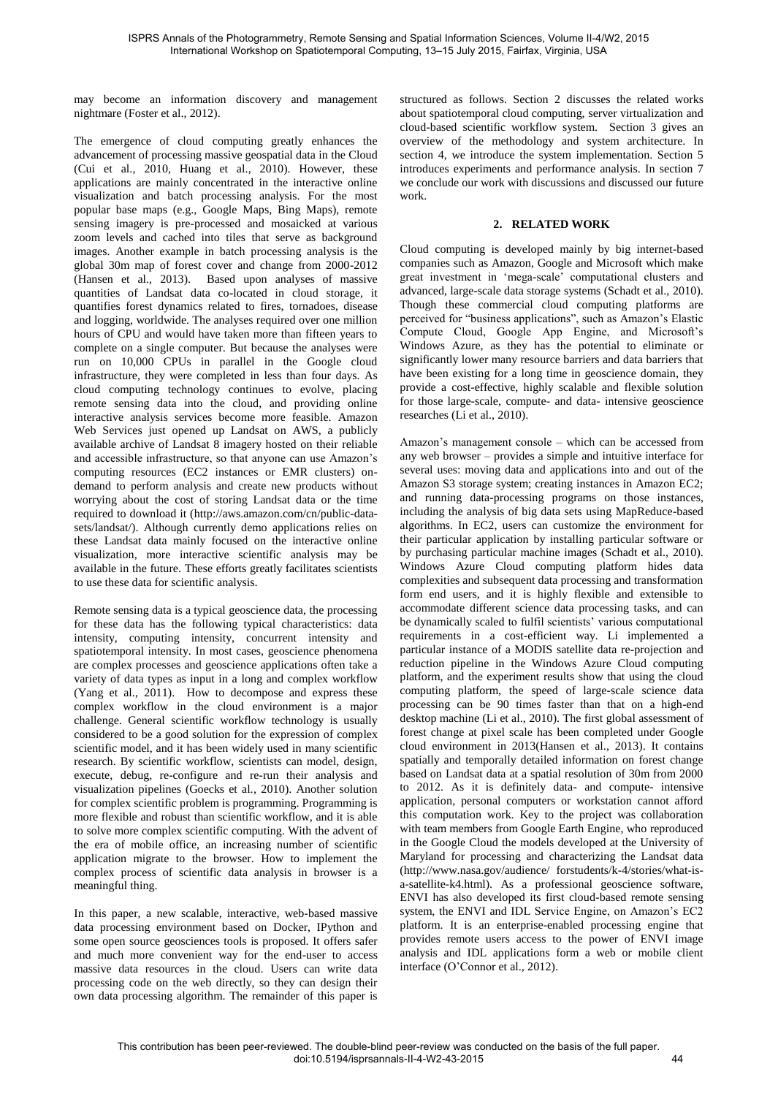may become an information discovery and management nightmare (Foster et al., 2012).

The emergence of cloud computing greatly enhances the advancement of processing massive geospatial data in the Cloud (Cui et al., 2010, Huang et al., 2010). However, these applications are mainly concentrated in the interactive online visualization and batch processing analysis. For the most popular base maps (e.g., Google Maps, Bing Maps), remote sensing imagery is pre-processed and mosaicked at various zoom levels and cached into tiles that serve as background images. Another example in batch processing analysis is the global 30m map of forest cover and change from 2000-2012 (Hansen et al., 2013). Based upon analyses of massive quantities of Landsat data co-located in cloud storage, it quantifies forest dynamics related to fires, tornadoes, disease and logging, worldwide. The analyses required over one million hours of CPU and would have taken more than fifteen years to complete on a single computer. But because the analyses were run on 10,000 CPUs in parallel in the Google cloud infrastructure, they were completed in less than four days. As cloud computing technology continues to evolve, placing remote sensing data into the cloud, and providing online interactive analysis services become more feasible. Amazon Web Services just opened up Landsat on AWS, a publicly available archive of Landsat 8 imagery hosted on their reliable and accessible infrastructure, so that anyone can use Amazon's computing resources (EC2 instances or EMR clusters) ondemand to perform analysis and create new products without worrying about the cost of storing Landsat data or the time required to download it (http://aws.amazon.com/cn/public-datasets/landsat/). Although currently demo applications relies on these Landsat data mainly focused on the interactive online visualization, more interactive scientific analysis may be available in the future. These efforts greatly facilitates scientists to use these data for scientific analysis.

Remote sensing data is a typical geoscience data, the processing for these data has the following typical characteristics: data intensity, computing intensity, concurrent intensity and spatiotemporal intensity. In most cases, geoscience phenomena are complex processes and geoscience applications often take a variety of data types as input in a long and complex workflow (Yang et al., 2011). How to decompose and express these complex workflow in the cloud environment is a major challenge. General scientific workflow technology is usually considered to be a good solution for the expression of complex scientific model, and it has been widely used in many scientific research. By scientific workflow, scientists can model, design, execute, debug, re-configure and re-run their analysis and visualization pipelines (Goecks et al., 2010). Another solution for complex scientific problem is programming. Programming is more flexible and robust than scientific workflow, and it is able to solve more complex scientific computing. With the advent of the era of mobile office, an increasing number of scientific application migrate to the browser. How to implement the complex process of scientific data analysis in browser is a meaningful thing.

In this paper, a new scalable, interactive, web-based massive data processing environment based on Docker, IPython and some open source geosciences tools is proposed. It offers safer and much more convenient way for the end-user to access massive data resources in the cloud. Users can write data processing code on the web directly, so they can design their own data processing algorithm. The remainder of this paper is

structured as follows. Section 2 discusses the related works about spatiotemporal cloud computing, server virtualization and cloud-based scientific workflow system. Section 3 gives an overview of the methodology and system architecture. In section 4, we introduce the system implementation. Section 5 introduces experiments and performance analysis. In section 7 we conclude our work with discussions and discussed our future work.

## **2. RELATED WORK**

Cloud computing is developed mainly by big internet-based companies such as Amazon, Google and Microsoft which make great investment in 'mega-scale' computational clusters and advanced, large-scale data storage systems (Schadt et al., 2010). Though these commercial cloud computing platforms are perceived for "business applications", such as Amazon's Elastic Compute Cloud, Google App Engine, and Microsoft's Windows Azure, as they has the potential to eliminate or significantly lower many resource barriers and data barriers that have been existing for a long time in geoscience domain, they provide a cost-effective, highly scalable and flexible solution for those large-scale, compute- and data- intensive geoscience researches (Li et al., 2010).

Amazon's management console – which can be accessed from any web browser – provides a simple and intuitive interface for several uses: moving data and applications into and out of the Amazon S3 storage system; creating instances in Amazon EC2; and running data-processing programs on those instances, including the analysis of big data sets using MapReduce-based algorithms. In EC2, users can customize the environment for their particular application by installing particular software or by purchasing particular machine images (Schadt et al., 2010). Windows Azure Cloud computing platform hides data complexities and subsequent data processing and transformation form end users, and it is highly flexible and extensible to accommodate different science data processing tasks, and can be dynamically scaled to fulfil scientists' various computational requirements in a cost-efficient way. Li implemented a particular instance of a MODIS satellite data re-projection and reduction pipeline in the Windows Azure Cloud computing platform, and the experiment results show that using the cloud computing platform, the speed of large-scale science data processing can be 90 times faster than that on a high-end desktop machine (Li et al., 2010). The first global assessment of forest change at pixel scale has been completed under Google cloud environment in 2013(Hansen et al., 2013). It contains spatially and temporally detailed information on forest change based on Landsat data at a spatial resolution of 30m from 2000 to 2012. As it is definitely data- and compute- intensive application, personal computers or workstation cannot afford this computation work. Key to the project was collaboration with team members from Google Earth Engine, who reproduced in the Google Cloud the models developed at the University of Maryland for processing and characterizing the Landsat data (http://www.nasa.gov/audience/ forstudents/k-4/stories/what-isa-satellite-k4.html). As a professional geoscience software, ENVI has also developed its first cloud-based remote sensing system, the ENVI and IDL Service Engine, on Amazon's EC2 platform. It is an enterprise-enabled processing engine that provides remote users access to the power of ENVI image analysis and IDL applications form a web or mobile client interface (O'Connor et al., 2012).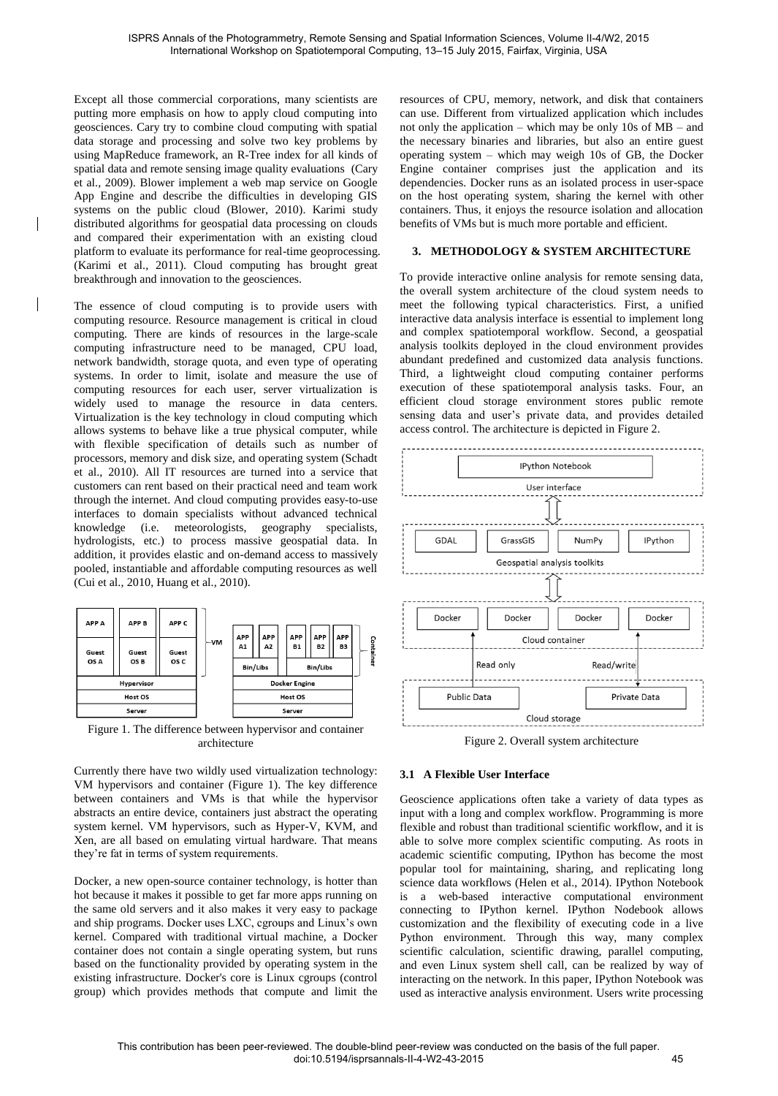Except all those commercial corporations, many scientists are putting more emphasis on how to apply cloud computing into geosciences. Cary try to combine cloud computing with spatial data storage and processing and solve two key problems by using MapReduce framework, an R-Tree index for all kinds of spatial data and remote sensing image quality evaluations (Cary et al., 2009). Blower implement a web map service on Google App Engine and describe the difficulties in developing GIS systems on the public cloud (Blower, 2010). Karimi study distributed algorithms for geospatial data processing on clouds and compared their experimentation with an existing cloud platform to evaluate its performance for real-time geoprocessing. (Karimi et al., 2011). Cloud computing has brought great breakthrough and innovation to the geosciences.

The essence of cloud computing is to provide users with computing resource. Resource management is critical in cloud computing. There are kinds of resources in the large-scale computing infrastructure need to be managed, CPU load, network bandwidth, storage quota, and even type of operating systems. In order to limit, isolate and measure the use of computing resources for each user, server virtualization is widely used to manage the resource in data centers. Virtualization is the key technology in cloud computing which allows systems to behave like a true physical computer, while with flexible specification of details such as number of processors, memory and disk size, and operating system (Schadt et al., 2010). All IT resources are turned into a service that customers can rent based on their practical need and team work through the internet. And cloud computing provides easy-to-use interfaces to domain specialists without advanced technical knowledge (i.e. meteorologists, geography specialists, hydrologists, etc.) to process massive geospatial data. In addition, it provides elastic and on-demand access to massively pooled, instantiable and affordable computing resources as well (Cui et al., 2010, Huang et al., 2010).



Figure 1. The difference between hypervisor and container architecture

Currently there have two wildly used virtualization technology: VM hypervisors and container (Figure 1). The key difference between containers and VMs is that while the hypervisor abstracts an entire device, containers just abstract the operating system kernel. VM hypervisors, such as Hyper-V, KVM, and Xen, are all based on emulating virtual hardware. That means they're fat in terms of system requirements.

Docker, a new open-source container technology, is hotter than hot because it makes it possible to get far more apps running on the same old servers and it also makes it very easy to package and ship programs. Docker uses LXC, cgroups and Linux's own kernel. Compared with traditional virtual machine, a Docker container does not contain a single operating system, but runs based on the functionality provided by operating system in the existing infrastructure. Docker's core is Linux cgroups (control group) which provides methods that compute and limit the

resources of CPU, memory, network, and disk that containers can use. Different from virtualized application which includes not only the application – which may be only 10s of MB – and the necessary binaries and libraries, but also an entire guest operating system – which may weigh 10s of GB, the Docker Engine container comprises just the application and its dependencies. Docker runs as an isolated process in user-space on the host operating system, sharing the kernel with other containers. Thus, it enjoys the resource isolation and allocation benefits of VMs but is much more portable and efficient.

## **3. METHODOLOGY & SYSTEM ARCHITECTURE**

To provide interactive online analysis for remote sensing data, the overall system architecture of the cloud system needs to meet the following typical characteristics. First, a unified interactive data analysis interface is essential to implement long and complex spatiotemporal workflow. Second, a geospatial analysis toolkits deployed in the cloud environment provides abundant predefined and customized data analysis functions. Third, a lightweight cloud computing container performs execution of these spatiotemporal analysis tasks. Four, an efficient cloud storage environment stores public remote sensing data and user's private data, and provides detailed access control. The architecture is depicted in Figure 2.



Figure 2. Overall system architecture

## **3.1 A Flexible User Interface**

Geoscience applications often take a variety of data types as input with a long and complex workflow. Programming is more flexible and robust than traditional scientific workflow, and it is able to solve more complex scientific computing. As roots in academic scientific computing, IPython has become the most popular tool for maintaining, sharing, and replicating long science data workflows (Helen et al., 2014). IPython Notebook is a web-based interactive computational environment connecting to IPython kernel. IPython Nodebook allows customization and the flexibility of executing code in a live Python environment. Through this way, many complex scientific calculation, scientific drawing, parallel computing, and even Linux system shell call, can be realized by way of interacting on the network. In this paper, IPython Notebook was used as interactive analysis environment. Users write processing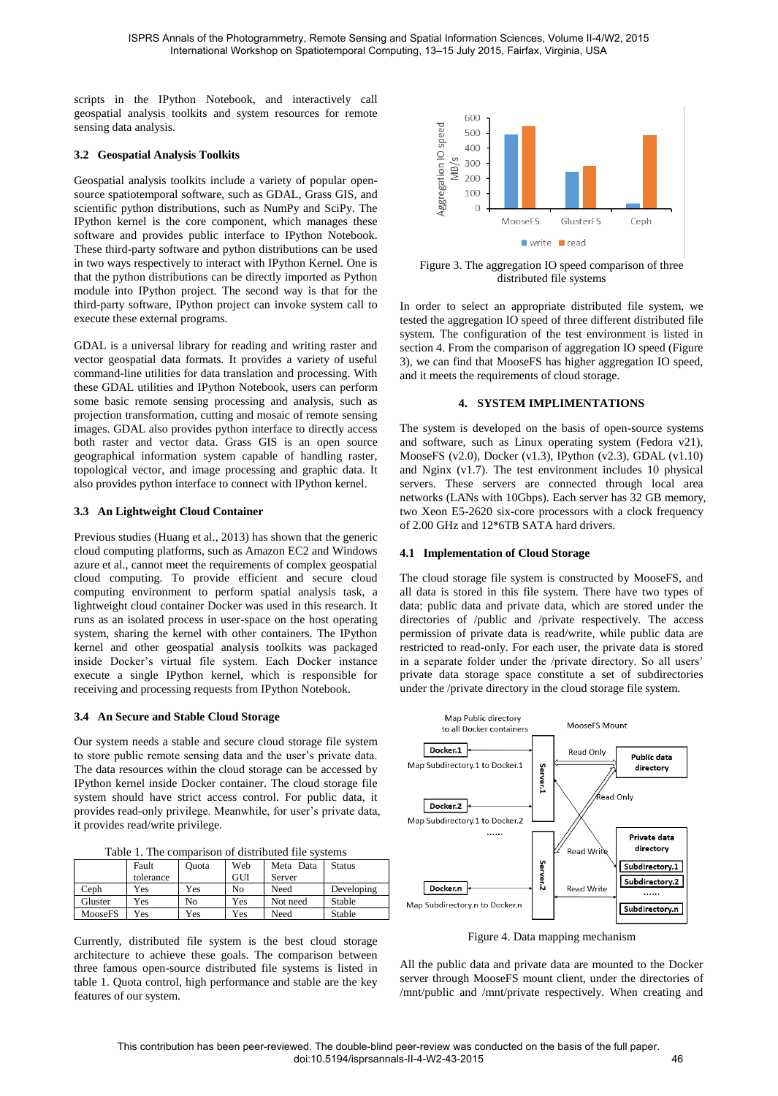scripts in the IPython Notebook, and interactively call geospatial analysis toolkits and system resources for remote sensing data analysis.

#### **3.2 Geospatial Analysis Toolkits**

Geospatial analysis toolkits include a variety of popular opensource spatiotemporal software, such as GDAL, Grass GIS, and scientific python distributions, such as NumPy and SciPy. The IPython kernel is the core component, which manages these software and provides public interface to IPython Notebook. These third-party software and python distributions can be used in two ways respectively to interact with IPython Kernel. One is that the python distributions can be directly imported as Python module into IPython project. The second way is that for the third-party software, IPython project can invoke system call to execute these external programs.

GDAL is a universal library for reading and writing raster and vector geospatial data formats. It provides a variety of useful command-line utilities for data translation and processing. With these GDAL utilities and IPython Notebook, users can perform some basic remote sensing processing and analysis, such as projection transformation, cutting and mosaic of remote sensing images. GDAL also provides python interface to directly access both raster and vector data. Grass GIS is an open source geographical information system capable of handling raster, topological vector, and image processing and graphic data. It also provides python interface to connect with IPython kernel.

## **3.3 An Lightweight Cloud Container**

Previous studies (Huang et al., 2013) has shown that the generic cloud computing platforms, such as Amazon EC2 and Windows azure et al., cannot meet the requirements of complex geospatial cloud computing. To provide efficient and secure cloud computing environment to perform spatial analysis task, a lightweight cloud container Docker was used in this research. It runs as an isolated process in user-space on the host operating system, sharing the kernel with other containers. The IPython kernel and other geospatial analysis toolkits was packaged inside Docker's virtual file system. Each Docker instance execute a single IPython kernel, which is responsible for receiving and processing requests from IPython Notebook.

#### **3.4 An Secure and Stable Cloud Storage**

Our system needs a stable and secure cloud storage file system to store public remote sensing data and the user's private data. The data resources within the cloud storage can be accessed by IPython kernel inside Docker container. The cloud storage file system should have strict access control. For public data, it provides read-only privilege. Meanwhile, for user's private data, it provides read/write privilege.

| Table 1. The comparison of distributed file systems |  |  |  |  |
|-----------------------------------------------------|--|--|--|--|
|-----------------------------------------------------|--|--|--|--|

|         | Fault     | Ouota | Web | Meta Data | Status     |
|---------|-----------|-------|-----|-----------|------------|
|         | tolerance |       | GUI | Server    |            |
| Ceph    | Yes       | Yes   | No  | Need      | Developing |
| Gluster | Yes       | No    | Yes | Not need  | Stable     |
| MooseFS | Yes       | Yes   | Yes | Need      | Stable     |

Currently, distributed file system is the best cloud storage architecture to achieve these goals. The comparison between three famous open-source distributed file systems is listed in table 1. Quota control, high performance and stable are the key features of our system.



Figure 3. The aggregation IO speed comparison of three distributed file systems

In order to select an appropriate distributed file system, we tested the aggregation IO speed of three different distributed file system. The configuration of the test environment is listed in section 4. From the comparison of aggregation IO speed (Figure 3), we can find that MooseFS has higher aggregation IO speed, and it meets the requirements of cloud storage.

#### **4. SYSTEM IMPLIMENTATIONS**

The system is developed on the basis of open-source systems and software, such as Linux operating system (Fedora v21), MooseFS (v2.0), Docker (v1.3), IPython (v2.3), GDAL (v1.10) and Nginx (v1.7). The test environment includes 10 physical servers. These servers are connected through local area networks (LANs with 10Gbps). Each server has 32 GB memory, two Xeon E5-2620 six-core processors with a clock frequency of 2.00 GHz and 12\*6TB SATA hard drivers.

#### **4.1 Implementation of Cloud Storage**

The cloud storage file system is constructed by MooseFS, and all data is stored in this file system. There have two types of data: public data and private data, which are stored under the directories of /public and /private respectively. The access permission of private data is read/write, while public data are restricted to read-only. For each user, the private data is stored in a separate folder under the /private directory. So all users' private data storage space constitute a set of subdirectories under the /private directory in the cloud storage file system.



Figure 4. Data mapping mechanism

All the public data and private data are mounted to the Docker server through MooseFS mount client, under the directories of /mnt/public and /mnt/private respectively. When creating and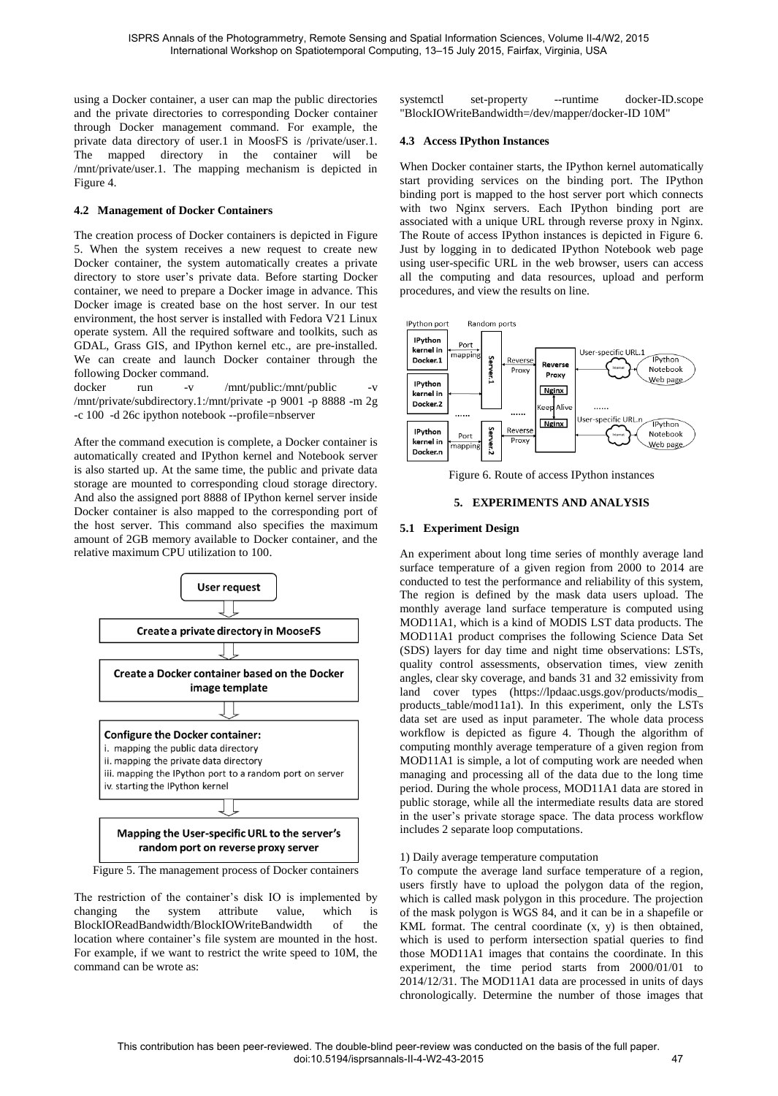using a Docker container, a user can map the public directories and the private directories to corresponding Docker container through Docker management command. For example, the private data directory of user.1 in MoosFS is /private/user.1. The mapped directory in the container will be /mnt/private/user.1. The mapping mechanism is depicted in Figure 4.

## **4.2 Management of Docker Containers**

The creation process of Docker containers is depicted in Figure 5. When the system receives a new request to create new Docker container, the system automatically creates a private directory to store user's private data. Before starting Docker container, we need to prepare a Docker image in advance. This Docker image is created base on the host server. In our test environment, the host server is installed with Fedora V21 Linux operate system. All the required software and toolkits, such as GDAL, Grass GIS, and IPython kernel etc., are pre-installed. We can create and launch Docker container through the following Docker command.

docker run -v /mnt/public:/mnt/public -v /mnt/private/subdirectory.1:/mnt/private -p 9001 -p 8888 -m 2g -c 100 -d 26c ipython notebook --profile=nbserver

After the command execution is complete, a Docker container is automatically created and IPython kernel and Notebook server is also started up. At the same time, the public and private data storage are mounted to corresponding cloud storage directory. And also the assigned port 8888 of IPython kernel server inside Docker container is also mapped to the corresponding port of the host server. This command also specifies the maximum amount of 2GB memory available to Docker container, and the relative maximum CPU utilization to 100.



Figure 5. The management process of Docker containers

The restriction of the container's disk IO is implemented by changing the system attribute value, which is BlockIOReadBandwidth/BlockIOWriteBandwidth of the location where container's file system are mounted in the host. For example, if we want to restrict the write speed to 10M, the command can be wrote as:

systemctl set-property --runtime docker-ID.scope "BlockIOWriteBandwidth=/dev/mapper/docker-ID 10M"

#### **4.3 Access IPython Instances**

When Docker container starts, the IPython kernel automatically start providing services on the binding port. The IPython binding port is mapped to the host server port which connects with two Nginx servers. Each IPython binding port are associated with a unique URL through reverse proxy in Nginx. The Route of access IPython instances is depicted in Figure 6. Just by logging in to dedicated IPython Notebook web page using user-specific URL in the web browser, users can access all the computing and data resources, upload and perform procedures, and view the results on line.



Figure 6. Route of access IPython instances

## **5. EXPERIMENTS AND ANALYSIS**

#### **5.1 Experiment Design**

An experiment about long time series of monthly average land surface temperature of a given region from 2000 to 2014 are conducted to test the performance and reliability of this system, The region is defined by the mask data users upload. The monthly average land surface temperature is computed using MOD11A1, which is a kind of MODIS LST data products. The MOD11A1 product comprises the following Science Data Set (SDS) layers for day time and night time observations: LSTs, quality control assessments, observation times, view zenith angles, clear sky coverage, and bands 31 and 32 emissivity from land cover types (https://lpdaac.usgs.gov/products/modis\_ products\_table/mod11a1). In this experiment, only the LSTs data set are used as input parameter. The whole data process workflow is depicted as figure 4. Though the algorithm of computing monthly average temperature of a given region from MOD11A1 is simple, a lot of computing work are needed when managing and processing all of the data due to the long time period. During the whole process, MOD11A1 data are stored in public storage, while all the intermediate results data are stored in the user's private storage space. The data process workflow includes 2 separate loop computations.

#### 1) Daily average temperature computation

To compute the average land surface temperature of a region, users firstly have to upload the polygon data of the region, which is called mask polygon in this procedure. The projection of the mask polygon is WGS 84, and it can be in a shapefile or KML format. The central coordinate (x, y) is then obtained, which is used to perform intersection spatial queries to find those MOD11A1 images that contains the coordinate. In this experiment, the time period starts from 2000/01/01 to 2014/12/31. The MOD11A1 data are processed in units of days chronologically. Determine the number of those images that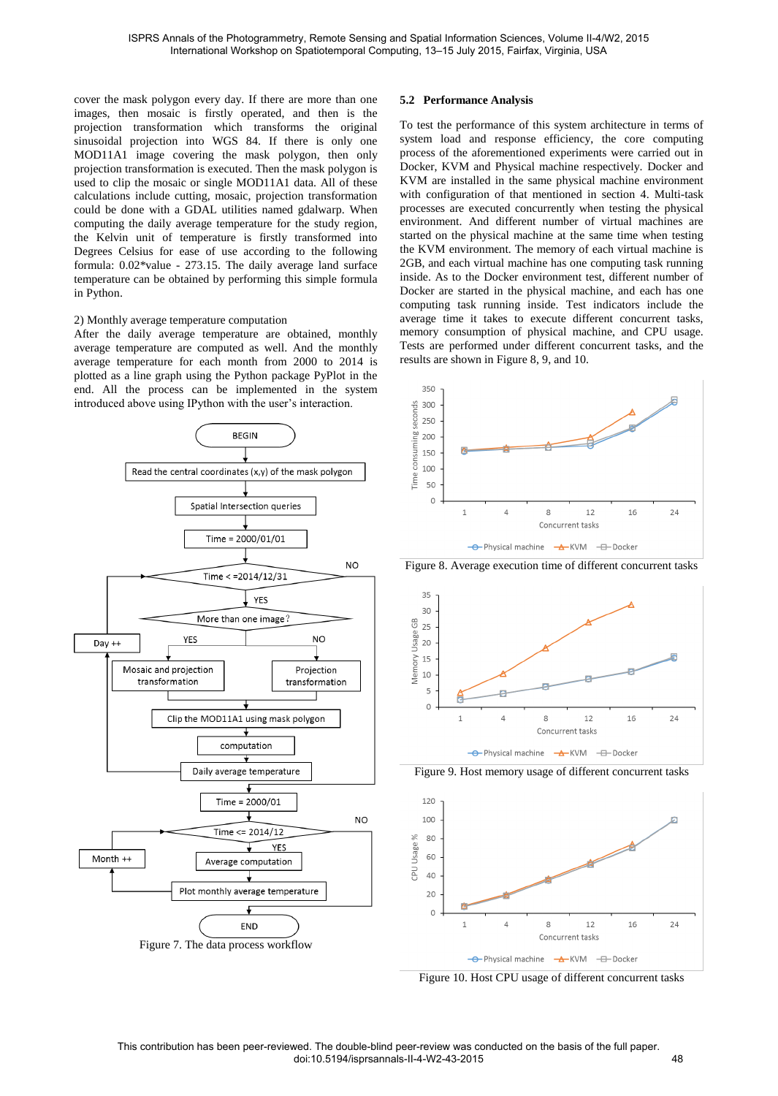cover the mask polygon every day. If there are more than one images, then mosaic is firstly operated, and then is the projection transformation which transforms the original sinusoidal projection into WGS 84. If there is only one MOD11A1 image covering the mask polygon, then only projection transformation is executed. Then the mask polygon is used to clip the mosaic or single MOD11A1 data. All of these calculations include cutting, mosaic, projection transformation could be done with a GDAL utilities named gdalwarp. When computing the daily average temperature for the study region, the Kelvin unit of temperature is firstly transformed into Degrees Celsius for ease of use according to the following formula: 0.02\*value - 273.15. The daily average land surface temperature can be obtained by performing this simple formula in Python.

#### 2) Monthly average temperature computation

After the daily average temperature are obtained, monthly average temperature are computed as well. And the monthly average temperature for each month from 2000 to 2014 is plotted as a line graph using the Python package PyPlot in the end. All the process can be implemented in the system introduced above using IPython with the user's interaction.



#### **5.2 Performance Analysis**

To test the performance of this system architecture in terms of system load and response efficiency, the core computing process of the aforementioned experiments were carried out in Docker, KVM and Physical machine respectively. Docker and KVM are installed in the same physical machine environment with configuration of that mentioned in section 4. Multi-task processes are executed concurrently when testing the physical environment. And different number of virtual machines are started on the physical machine at the same time when testing the KVM environment. The memory of each virtual machine is 2GB, and each virtual machine has one computing task running inside. As to the Docker environment test, different number of Docker are started in the physical machine, and each has one computing task running inside. Test indicators include the average time it takes to execute different concurrent tasks, memory consumption of physical machine, and CPU usage. Tests are performed under different concurrent tasks, and the results are shown in Figure 8, 9, and 10.



Figure 8. Average execution time of different concurrent tasks



Figure 9. Host memory usage of different concurrent tasks



Figure 10. Host CPU usage of different concurrent tasks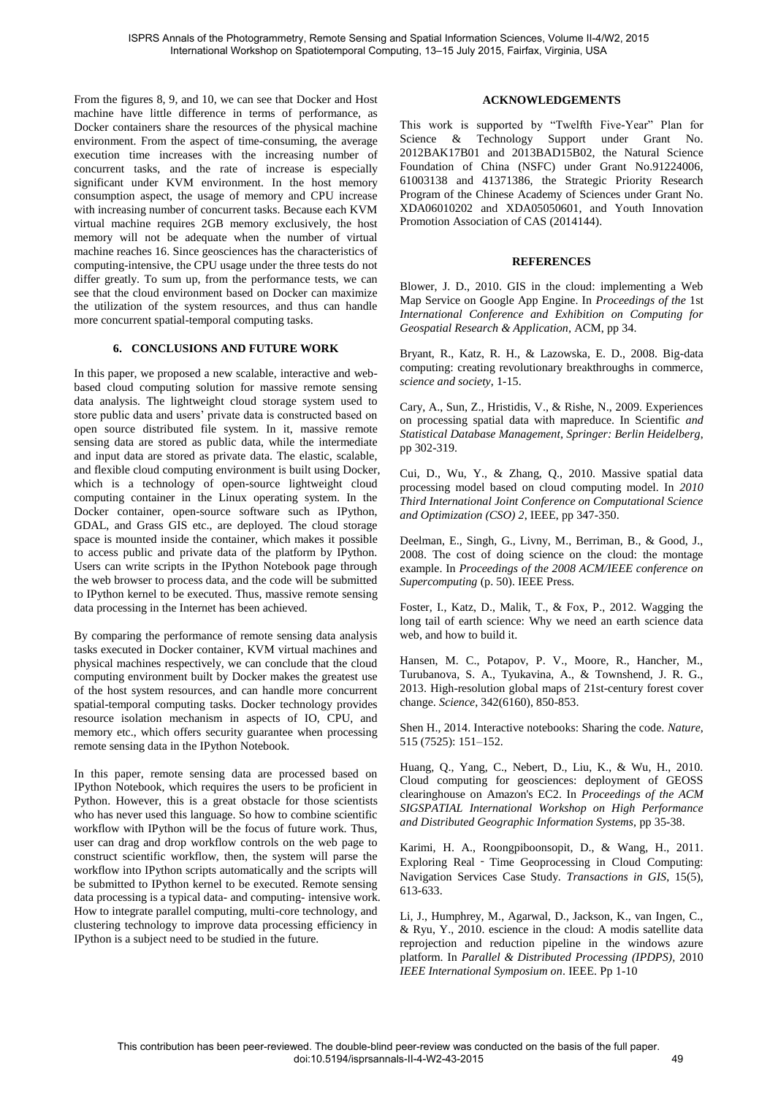From the figures 8, 9, and 10, we can see that Docker and Host machine have little difference in terms of performance, as Docker containers share the resources of the physical machine environment. From the aspect of time-consuming, the average execution time increases with the increasing number of concurrent tasks, and the rate of increase is especially significant under KVM environment. In the host memory consumption aspect, the usage of memory and CPU increase with increasing number of concurrent tasks. Because each KVM virtual machine requires 2GB memory exclusively, the host memory will not be adequate when the number of virtual machine reaches 16. Since geosciences has the characteristics of computing-intensive, the CPU usage under the three tests do not differ greatly. To sum up, from the performance tests, we can see that the cloud environment based on Docker can maximize the utilization of the system resources, and thus can handle more concurrent spatial-temporal computing tasks.

## **6. CONCLUSIONS AND FUTURE WORK**

In this paper, we proposed a new scalable, interactive and webbased cloud computing solution for massive remote sensing data analysis. The lightweight cloud storage system used to store public data and users' private data is constructed based on open source distributed file system. In it, massive remote sensing data are stored as public data, while the intermediate and input data are stored as private data. The elastic, scalable, and flexible cloud computing environment is built using Docker, which is a technology of open-source lightweight cloud computing container in the Linux operating system. In the Docker container, open-source software such as IPython, GDAL, and Grass GIS etc., are deployed. The cloud storage space is mounted inside the container, which makes it possible to access public and private data of the platform by IPython. Users can write scripts in the IPython Notebook page through the web browser to process data, and the code will be submitted to IPython kernel to be executed. Thus, massive remote sensing data processing in the Internet has been achieved.

By comparing the performance of remote sensing data analysis tasks executed in Docker container, KVM virtual machines and physical machines respectively, we can conclude that the cloud computing environment built by Docker makes the greatest use of the host system resources, and can handle more concurrent spatial-temporal computing tasks. Docker technology provides resource isolation mechanism in aspects of IO, CPU, and memory etc., which offers security guarantee when processing remote sensing data in the IPython Notebook.

In this paper, remote sensing data are processed based on IPython Notebook, which requires the users to be proficient in Python. However, this is a great obstacle for those scientists who has never used this language. So how to combine scientific workflow with IPython will be the focus of future work. Thus, user can drag and drop workflow controls on the web page to construct scientific workflow, then, the system will parse the workflow into IPython scripts automatically and the scripts will be submitted to IPython kernel to be executed. Remote sensing data processing is a typical data- and computing- intensive work. How to integrate parallel computing, multi-core technology, and clustering technology to improve data processing efficiency in IPython is a subject need to be studied in the future.

## **ACKNOWLEDGEMENTS**

This work is supported by "Twelfth Five-Year" Plan for Science & Technology Support under Grant No. 2012BAK17B01 and 2013BAD15B02, the Natural Science Foundation of China (NSFC) under Grant No.91224006, 61003138 and 41371386, the Strategic Priority Research Program of the Chinese Academy of Sciences under Grant No. XDA06010202 and XDA05050601, and Youth Innovation Promotion Association of CAS (2014144).

#### **REFERENCES**

Blower, J. D., 2010. GIS in the cloud: implementing a Web Map Service on Google App Engine. In *Proceedings of the* 1st *International Conference and Exhibition on Computing for Geospatial Research & Application,* ACM, pp 34.

Bryant, R., Katz, R. H., & Lazowska, E. D., 2008. Big-data computing: creating revolutionary breakthroughs in commerce, *science and society*, 1-15.

Cary, A., Sun, Z., Hristidis, V., & Rishe, N., 2009. Experiences on processing spatial data with mapreduce. In Scientific *and Statistical Database Management, Springer: Berlin Heidelberg*, pp 302-319.

Cui, D., Wu, Y., & Zhang, Q., 2010. Massive spatial data processing model based on cloud computing model. In *2010 Third International Joint Conference on Computational Science and Optimization (CSO) 2*, IEEE, pp 347-350.

Deelman, E., Singh, G., Livny, M., Berriman, B., & Good, J., 2008. The cost of doing science on the cloud: the montage example. In *Proceedings of the 2008 ACM/IEEE conference on Supercomputing* (p. 50). IEEE Press.

Foster, I., Katz, D., Malik, T., & Fox, P., 2012. Wagging the long tail of earth science: Why we need an earth science data web, and how to build it.

Hansen, M. C., Potapov, P. V., Moore, R., Hancher, M., Turubanova, S. A., Tyukavina, A., & Townshend, J. R. G., 2013. High-resolution global maps of 21st-century forest cover change. *Science*, 342(6160), 850-853.

Shen H., 2014. Interactive notebooks: Sharing the code. *Nature*, 515 (7525): 151–152.

Huang, Q., Yang, C., Nebert, D., Liu, K., & Wu, H., 2010. Cloud computing for geosciences: deployment of GEOSS clearinghouse on Amazon's EC2. In *Proceedings of the ACM SIGSPATIAL International Workshop on High Performance and Distributed Geographic Information Systems,* pp 35-38.

Karimi, H. A., Roongpiboonsopit, D., & Wang, H., 2011. Exploring Real - Time Geoprocessing in Cloud Computing: Navigation Services Case Study. *Transactions in GIS*, 15(5), 613-633.

Li, J., Humphrey, M., Agarwal, D., Jackson, K., van Ingen, C., & Ryu, Y., 2010. escience in the cloud: A modis satellite data reprojection and reduction pipeline in the windows azure platform. In *Parallel & Distributed Processing (IPDPS),* 2010 *IEEE International Symposium on*. IEEE. Pp 1-10